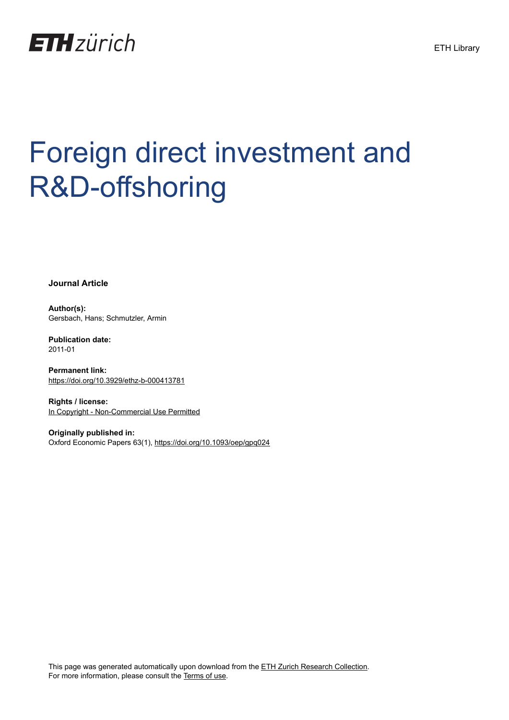

# Foreign direct investment and R&D-offshoring

**Journal Article**

**Author(s):** Gersbach, Hans; Schmutzler, Armin

**Publication date:** 2011-01

**Permanent link:** <https://doi.org/10.3929/ethz-b-000413781>

**Rights / license:** [In Copyright - Non-Commercial Use Permitted](http://rightsstatements.org/page/InC-NC/1.0/)

**Originally published in:** Oxford Economic Papers 63(1), <https://doi.org/10.1093/oep/gpq024>

This page was generated automatically upon download from the [ETH Zurich Research Collection.](https://www.research-collection.ethz.ch) For more information, please consult the [Terms of use](https://www.research-collection.ethz.ch/terms-of-use).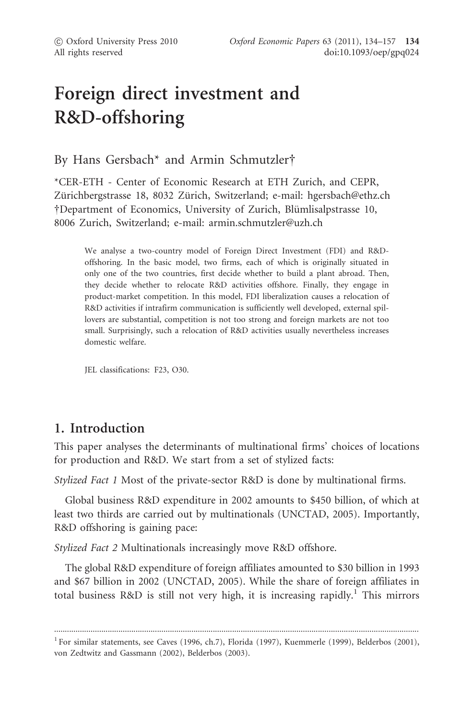## Foreign direct investment and R&D-offshoring

## By Hans Gersbach\* and Armin Schmutzler†

\*CER-ETH - Center of Economic Research at ETH Zurich, and CEPR, Zürichbergstrasse 18, 8032 Zürich, Switzerland; e-mail: hgersbach@ethz.ch <sup>†</sup>Department of Economics, University of Zurich, Blümlisalpstrasse 10, 8006 Zurich, Switzerland; e-mail: armin.schmutzler@uzh.ch

We analyse a two-country model of Foreign Direct Investment (FDI) and R&Doffshoring. In the basic model, two firms, each of which is originally situated in only one of the two countries, first decide whether to build a plant abroad. Then, they decide whether to relocate R&D activities offshore. Finally, they engage in product-market competition. In this model, FDI liberalization causes a relocation of R&D activities if intrafirm communication is sufficiently well developed, external spillovers are substantial, competition is not too strong and foreign markets are not too small. Surprisingly, such a relocation of R&D activities usually nevertheless increases domestic welfare.

JEL classifications: F23, O30.

## 1. Introduction

This paper analyses the determinants of multinational firms' choices of locations for production and R&D. We start from a set of stylized facts:

Stylized Fact 1 Most of the private-sector R&D is done by multinational firms.

Global business R&D expenditure in 2002 amounts to \$450 billion, of which at least two thirds are carried out by multinationals (UNCTAD, 2005). Importantly, R&D offshoring is gaining pace:

Stylized Fact 2 Multinationals increasingly move R&D offshore.

The global R&D expenditure of foreign affiliates amounted to \$30 billion in 1993 and \$67 billion in 2002 (UNCTAD, 2005). While the share of foreign affiliates in total business R&D is still not very high, it is increasing rapidly.<sup>1</sup> This mirrors

<sup>..........................................................................................................................................................................</sup> <sup>1</sup> For similar statements, see Caves (1996, ch.7), Florida (1997), Kuemmerle (1999), Belderbos (2001), von Zedtwitz and Gassmann (2002), Belderbos (2003).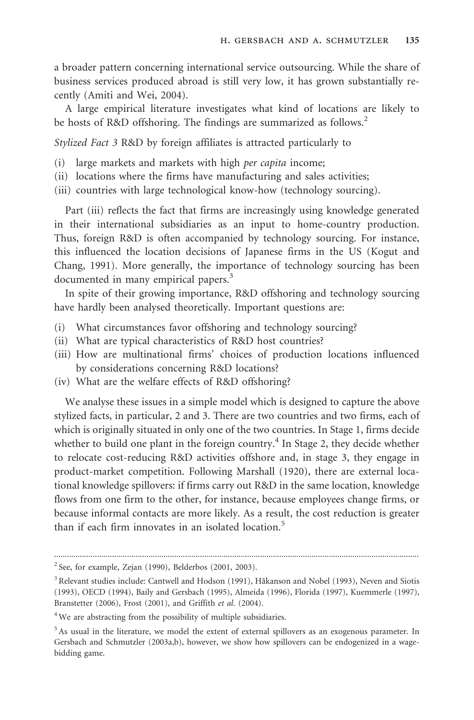a broader pattern concerning international service outsourcing. While the share of business services produced abroad is still very low, it has grown substantially recently (Amiti and Wei, 2004).

A large empirical literature investigates what kind of locations are likely to be hosts of R&D offshoring. The findings are summarized as follows.<sup>2</sup>

Stylized Fact 3 R&D by foreign affiliates is attracted particularly to

- (i) large markets and markets with high per capita income;
- (ii) locations where the firms have manufacturing and sales activities;
- (iii) countries with large technological know-how (technology sourcing).

Part (iii) reflects the fact that firms are increasingly using knowledge generated in their international subsidiaries as an input to home-country production. Thus, foreign R&D is often accompanied by technology sourcing. For instance, this influenced the location decisions of Japanese firms in the US (Kogut and Chang, 1991). More generally, the importance of technology sourcing has been documented in many empirical papers.<sup>3</sup>

In spite of their growing importance, R&D offshoring and technology sourcing have hardly been analysed theoretically. Important questions are:

- (i) What circumstances favor offshoring and technology sourcing?
- (ii) What are typical characteristics of R&D host countries?
- (iii) How are multinational firms' choices of production locations influenced by considerations concerning R&D locations?
- (iv) What are the welfare effects of R&D offshoring?

We analyse these issues in a simple model which is designed to capture the above stylized facts, in particular, 2 and 3. There are two countries and two firms, each of which is originally situated in only one of the two countries. In Stage 1, firms decide whether to build one plant in the foreign country.<sup>4</sup> In Stage 2, they decide whether to relocate cost-reducing R&D activities offshore and, in stage 3, they engage in product-market competition. Following Marshall (1920), there are external locational knowledge spillovers: if firms carry out R&D in the same location, knowledge flows from one firm to the other, for instance, because employees change firms, or because informal contacts are more likely. As a result, the cost reduction is greater than if each firm innovates in an isolated location.<sup>5</sup>

 $2$  See, for example, Zejan (1990), Belderbos (2001, 2003).

<sup>&</sup>lt;sup>3</sup> Relevant studies include: Cantwell and Hodson (1991), Håkanson and Nobel (1993), Neven and Siotis (1993), OECD (1994), Baily and Gersbach (1995), Almeida (1996), Florida (1997), Kuemmerle (1997), Branstetter (2006), Frost (2001), and Griffith et al. (2004).

<sup>&</sup>lt;sup>4</sup>We are abstracting from the possibility of multiple subsidiaries.

 $<sup>5</sup>$  As usual in the literature, we model the extent of external spillovers as an exogenous parameter. In</sup> Gersbach and Schmutzler (2003a,b), however, we show how spillovers can be endogenized in a wagebidding game.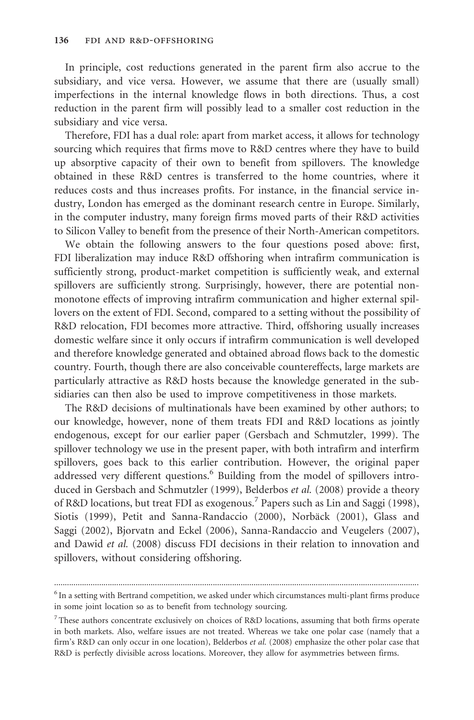In principle, cost reductions generated in the parent firm also accrue to the subsidiary, and vice versa. However, we assume that there are (usually small) imperfections in the internal knowledge flows in both directions. Thus, a cost reduction in the parent firm will possibly lead to a smaller cost reduction in the subsidiary and vice versa.

Therefore, FDI has a dual role: apart from market access, it allows for technology sourcing which requires that firms move to R&D centres where they have to build up absorptive capacity of their own to benefit from spillovers. The knowledge obtained in these R&D centres is transferred to the home countries, where it reduces costs and thus increases profits. For instance, in the financial service industry, London has emerged as the dominant research centre in Europe. Similarly, in the computer industry, many foreign firms moved parts of their R&D activities to Silicon Valley to benefit from the presence of their North-American competitors.

We obtain the following answers to the four questions posed above: first, FDI liberalization may induce R&D offshoring when intrafirm communication is sufficiently strong, product-market competition is sufficiently weak, and external spillovers are sufficiently strong. Surprisingly, however, there are potential nonmonotone effects of improving intrafirm communication and higher external spillovers on the extent of FDI. Second, compared to a setting without the possibility of R&D relocation, FDI becomes more attractive. Third, offshoring usually increases domestic welfare since it only occurs if intrafirm communication is well developed and therefore knowledge generated and obtained abroad flows back to the domestic country. Fourth, though there are also conceivable countereffects, large markets are particularly attractive as R&D hosts because the knowledge generated in the subsidiaries can then also be used to improve competitiveness in those markets.

The R&D decisions of multinationals have been examined by other authors; to our knowledge, however, none of them treats FDI and R&D locations as jointly endogenous, except for our earlier paper (Gersbach and Schmutzler, 1999). The spillover technology we use in the present paper, with both intrafirm and interfirm spillovers, goes back to this earlier contribution. However, the original paper addressed very different questions.<sup>6</sup> Building from the model of spillovers introduced in Gersbach and Schmutzler (1999), Belderbos et al. (2008) provide a theory of R&D locations, but treat FDI as exogenous.<sup>7</sup> Papers such as Lin and Saggi (1998), Siotis (1999), Petit and Sanna-Randaccio (2000), Norbäck (2001), Glass and Saggi (2002), Bjorvatn and Eckel (2006), Sanna-Randaccio and Veugelers (2007), and Dawid et al. (2008) discuss FDI decisions in their relation to innovation and spillovers, without considering offshoring.

<sup>..........................................................................................................................................................................</sup> <sup>6</sup> In a setting with Bertrand competition, we asked under which circumstances multi-plant firms produce in some joint location so as to benefit from technology sourcing.

<sup>7</sup> These authors concentrate exclusively on choices of R&D locations, assuming that both firms operate in both markets. Also, welfare issues are not treated. Whereas we take one polar case (namely that a firm's R&D can only occur in one location), Belderbos *et al.* (2008) emphasize the other polar case that R&D is perfectly divisible across locations. Moreover, they allow for asymmetries between firms.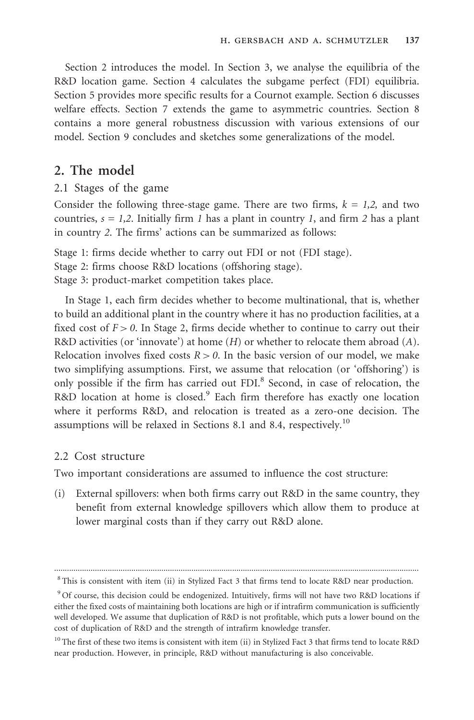Section 2 introduces the model. In Section 3, we analyse the equilibria of the R&D location game. Section 4 calculates the subgame perfect (FDI) equilibria. Section 5 provides more specific results for a Cournot example. Section 6 discusses welfare effects. Section 7 extends the game to asymmetric countries. Section 8 contains a more general robustness discussion with various extensions of our model. Section 9 concludes and sketches some generalizations of the model.

## 2. The model

2.1 Stages of the game

Consider the following three-stage game. There are two firms,  $k = 1,2$ , and two countries,  $s = 1,2$ . Initially firm 1 has a plant in country 1, and firm 2 has a plant in country 2. The firms' actions can be summarized as follows:

Stage 1: firms decide whether to carry out FDI or not (FDI stage). Stage 2: firms choose R&D locations (offshoring stage). Stage 3: product-market competition takes place.

In Stage 1, each firm decides whether to become multinational, that is, whether to build an additional plant in the country where it has no production facilities, at a fixed cost of  $F > 0$ . In Stage 2, firms decide whether to continue to carry out their R&D activities (or 'innovate') at home  $(H)$  or whether to relocate them abroad  $(A)$ . Relocation involves fixed costs  $R > 0$ . In the basic version of our model, we make two simplifying assumptions. First, we assume that relocation (or 'offshoring') is only possible if the firm has carried out FDI.<sup>8</sup> Second, in case of relocation, the R&D location at home is closed.<sup>9</sup> Each firm therefore has exactly one location where it performs R&D, and relocation is treated as a zero-one decision. The assumptions will be relaxed in Sections 8.1 and 8.4, respectively.<sup>10</sup>

#### 2.2 Cost structure

Two important considerations are assumed to influence the cost structure:

(i) External spillovers: when both firms carry out R&D in the same country, they benefit from external knowledge spillovers which allow them to produce at lower marginal costs than if they carry out R&D alone.

<sup>..........................................................................................................................................................................</sup> <sup>8</sup> This is consistent with item (ii) in Stylized Fact 3 that firms tend to locate R&D near production.

<sup>9</sup> Of course, this decision could be endogenized. Intuitively, firms will not have two R&D locations if either the fixed costs of maintaining both locations are high or if intrafirm communication is sufficiently well developed. We assume that duplication of R&D is not profitable, which puts a lower bound on the cost of duplication of R&D and the strength of intrafirm knowledge transfer.

<sup>&</sup>lt;sup>10</sup> The first of these two items is consistent with item (ii) in Stylized Fact 3 that firms tend to locate R&D near production. However, in principle, R&D without manufacturing is also conceivable.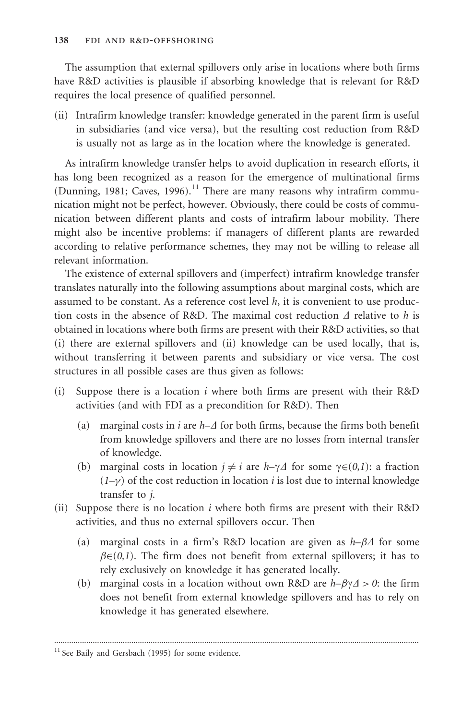The assumption that external spillovers only arise in locations where both firms have R&D activities is plausible if absorbing knowledge that is relevant for R&D requires the local presence of qualified personnel.

(ii) Intrafirm knowledge transfer: knowledge generated in the parent firm is useful in subsidiaries (and vice versa), but the resulting cost reduction from R&D is usually not as large as in the location where the knowledge is generated.

As intrafirm knowledge transfer helps to avoid duplication in research efforts, it has long been recognized as a reason for the emergence of multinational firms (Dunning, 1981; Caves, 1996).<sup>11</sup> There are many reasons why intrafirm communication might not be perfect, however. Obviously, there could be costs of communication between different plants and costs of intrafirm labour mobility. There might also be incentive problems: if managers of different plants are rewarded according to relative performance schemes, they may not be willing to release all relevant information.

The existence of external spillovers and (imperfect) intrafirm knowledge transfer translates naturally into the following assumptions about marginal costs, which are assumed to be constant. As a reference cost level  $h$ , it is convenient to use production costs in the absence of R&D. The maximal cost reduction  $\Delta$  relative to h is obtained in locations where both firms are present with their R&D activities, so that (i) there are external spillovers and (ii) knowledge can be used locally, that is, without transferring it between parents and subsidiary or vice versa. The cost structures in all possible cases are thus given as follows:

- (i) Suppose there is a location i where both firms are present with their  $R&D$ activities (and with FDI as a precondition for R&D). Then
	- (a) marginal costs in *i* are  $h-\Delta$  for both firms, because the firms both benefit from knowledge spillovers and there are no losses from internal transfer of knowledge.
	- (b) marginal costs in location  $j \neq i$  are  $h-\gamma\Delta$  for some  $\gamma \in (0,1)$ : a fraction  $(1-\gamma)$  of the cost reduction in location *i* is lost due to internal knowledge transfer to j.
- (ii) Suppose there is no location  $i$  where both firms are present with their R&D activities, and thus no external spillovers occur. Then
	- (a) marginal costs in a firm's R&D location are given as  $h-\beta\Delta$  for some  $\beta \in (0,1)$ . The firm does not benefit from external spillovers; it has to rely exclusively on knowledge it has generated locally.
	- (b) marginal costs in a location without own R&D are  $h-\beta\gamma\Delta > 0$ : the firm does not benefit from external knowledge spillovers and has to rely on knowledge it has generated elsewhere.

<sup>&</sup>lt;sup>11</sup> See Baily and Gersbach (1995) for some evidence.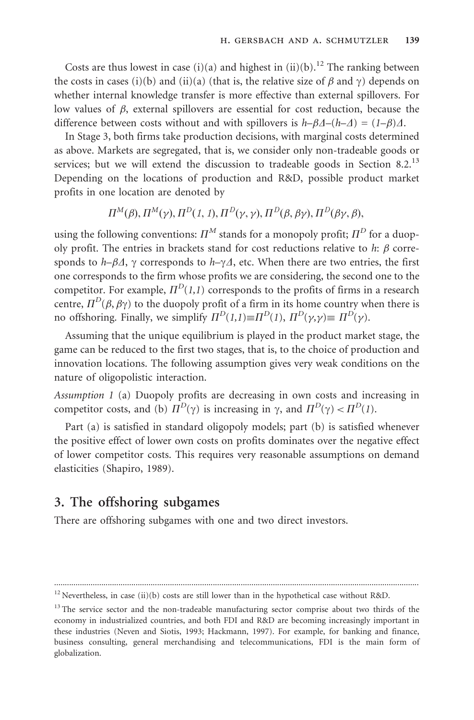Costs are thus lowest in case (i)(a) and highest in (ii)(b).<sup>12</sup> The ranking between the costs in cases (i)(b) and (ii)(a) (that is, the relative size of  $\beta$  and  $\gamma$ ) depends on whether internal knowledge transfer is more effective than external spillovers. For low values of  $\beta$ , external spillovers are essential for cost reduction, because the difference between costs without and with spillovers is  $h-\beta\Delta-(h-\Delta)=(1-\beta)\Delta$ .

In Stage 3, both firms take production decisions, with marginal costs determined as above. Markets are segregated, that is, we consider only non-tradeable goods or services; but we will extend the discussion to tradeable goods in Section 8.2.<sup>13</sup> Depending on the locations of production and R&D, possible product market profits in one location are denoted by

$$
\Pi^M(\beta), \Pi^M(\gamma), \Pi^D(1, 1), \Pi^D(\gamma, \gamma), \Pi^D(\beta, \beta\gamma), \Pi^D(\beta\gamma, \beta),
$$

using the following conventions:  $\Pi^M$  stands for a monopoly profit;  $\Pi^D$  for a duopoly profit. The entries in brackets stand for cost reductions relative to  $h$ :  $\beta$  corresponds to  $h-\beta\Delta$ ,  $\gamma$  corresponds to  $h-\gamma\Delta$ , etc. When there are two entries, the first one corresponds to the firm whose profits we are considering, the second one to the competitor. For example,  $\Pi^{D}(1,1)$  corresponds to the profits of firms in a research centre,  $\Pi^D(\beta, \beta\gamma)$  to the duopoly profit of a firm in its home country when there is no offshoring. Finally, we simplify  $\Pi^D(1,1) \equiv \Pi^D(1), \Pi^D(\gamma, \gamma) \equiv \Pi^D(\gamma)$ .

Assuming that the unique equilibrium is played in the product market stage, the game can be reduced to the first two stages, that is, to the choice of production and innovation locations. The following assumption gives very weak conditions on the nature of oligopolistic interaction.

Assumption 1 (a) Duopoly profits are decreasing in own costs and increasing in competitor costs, and (b)  $\Pi^D(\gamma)$  is increasing in  $\gamma$ , and  $\Pi^D(\gamma) < \Pi^D(1)$ .

Part (a) is satisfied in standard oligopoly models; part (b) is satisfied whenever the positive effect of lower own costs on profits dominates over the negative effect of lower competitor costs. This requires very reasonable assumptions on demand elasticities (Shapiro, 1989).

## 3. The offshoring subgames

There are offshoring subgames with one and two direct investors.

 $12$  Nevertheless, in case (ii)(b) costs are still lower than in the hypothetical case without R&D.

<sup>&</sup>lt;sup>13</sup> The service sector and the non-tradeable manufacturing sector comprise about two thirds of the economy in industrialized countries, and both FDI and R&D are becoming increasingly important in these industries (Neven and Siotis, 1993; Hackmann, 1997). For example, for banking and finance, business consulting, general merchandising and telecommunications, FDI is the main form of globalization.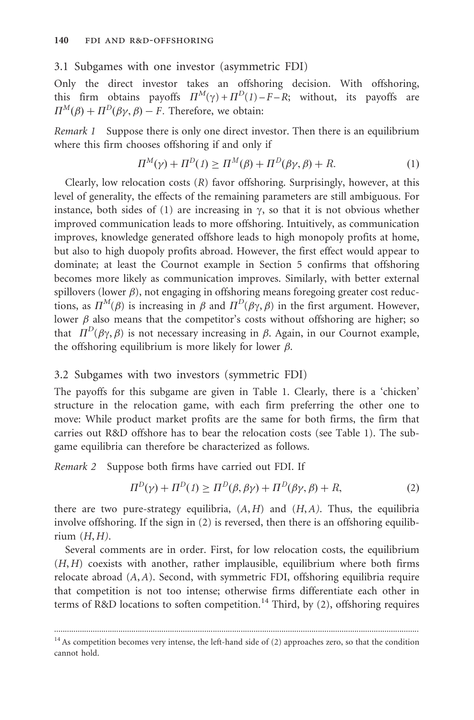#### 3.1 Subgames with one investor (asymmetric FDI)

Only the direct investor takes an offshoring decision. With offshoring, this firm obtains payoffs  $\Pi^{M}(\gamma) + \Pi^{D}(1) - F - R$ ; without, its payoffs are  $\Pi^M(\beta) + \Pi^D(\beta\gamma, \beta) - F$ . Therefore, we obtain:

Remark 1 Suppose there is only one direct investor. Then there is an equilibrium where this firm chooses offshoring if and only if

$$
\Pi^M(\gamma) + \Pi^D(1) \ge \Pi^M(\beta) + \Pi^D(\beta\gamma, \beta) + R. \tag{1}
$$

Clearly, low relocation costs  $(R)$  favor offshoring. Surprisingly, however, at this level of generality, the effects of the remaining parameters are still ambiguous. For instance, both sides of (1) are increasing in  $\gamma$ , so that it is not obvious whether improved communication leads to more offshoring. Intuitively, as communication improves, knowledge generated offshore leads to high monopoly profits at home, but also to high duopoly profits abroad. However, the first effect would appear to dominate; at least the Cournot example in Section 5 confirms that offshoring becomes more likely as communication improves. Similarly, with better external spillovers (lower  $\beta$ ), not engaging in offshoring means foregoing greater cost reductions, as  $\Pi^{M}(\beta)$  is increasing in  $\beta$  and  $\Pi^{D}(\beta\gamma, \beta)$  in the first argument. However, lower  $\beta$  also means that the competitor's costs without offshoring are higher; so that  $\Pi^D(\beta \gamma, \beta)$  is not necessary increasing in  $\beta$ . Again, in our Cournot example, the offshoring equilibrium is more likely for lower  $\beta$ .

#### 3.2 Subgames with two investors (symmetric FDI)

The payoffs for this subgame are given in Table 1. Clearly, there is a 'chicken' structure in the relocation game, with each firm preferring the other one to move: While product market profits are the same for both firms, the firm that carries out R&D offshore has to bear the relocation costs (see Table 1). The subgame equilibria can therefore be characterized as follows.

Remark 2 Suppose both firms have carried out FDI. If

$$
\Pi^{D}(\gamma) + \Pi^{D}(1) \ge \Pi^{D}(\beta, \beta\gamma) + \Pi^{D}(\beta\gamma, \beta) + R,\tag{2}
$$

there are two pure-strategy equilibria,  $(A, H)$  and  $(H, A)$ . Thus, the equilibria involve offshoring. If the sign in (2) is reversed, then there is an offshoring equilibrium  $(H, H)$ .

Several comments are in order. First, for low relocation costs, the equilibrium  $(H, H)$  coexists with another, rather implausible, equilibrium where both firms relocate abroad  $(A, A)$ . Second, with symmetric FDI, offshoring equilibria require that competition is not too intense; otherwise firms differentiate each other in terms of R&D locations to soften competition.<sup>14</sup> Third, by  $(2)$ , offshoring requires

<sup>..........................................................................................................................................................................</sup> <sup>14</sup> As competition becomes very intense, the left-hand side of (2) approaches zero, so that the condition cannot hold.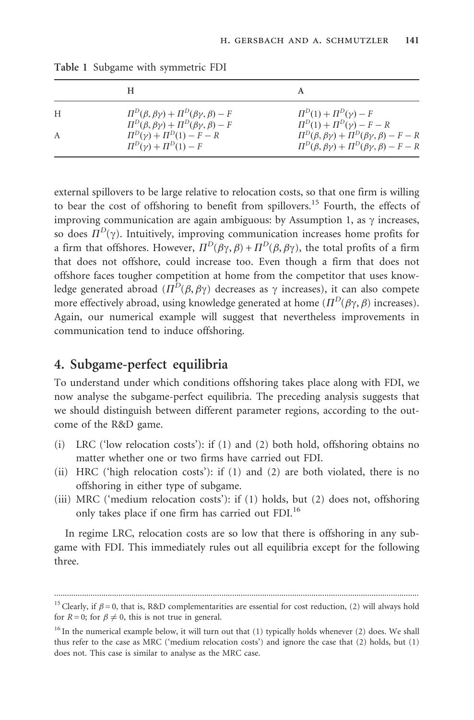|   | н                                                                                                                          | A                                                                                                                                    |
|---|----------------------------------------------------------------------------------------------------------------------------|--------------------------------------------------------------------------------------------------------------------------------------|
| H | $\Pi^D(\beta,\beta\gamma) + \Pi^D(\beta\gamma,\beta) - F$<br>$\Pi^{D}(\beta,\beta\gamma) + \Pi^{D}(\beta\gamma,\beta) - F$ | $\Pi^D(1) + \Pi^D(\gamma) - F$<br>$\Pi^D(1) + \Pi^D(\gamma) - F - R$                                                                 |
| A | $\Pi^D(\gamma) + \Pi^D(1) - F - R$<br>$\Pi^D(\gamma) + \Pi^D(1) - F$                                                       | $\Pi^D(\beta,\beta\gamma) + \Pi^D(\beta\gamma,\beta) - F - R$<br>$\Pi^{D}(\beta, \beta\gamma) + \Pi^{D}(\beta\gamma, \beta) - F - R$ |

Table 1 Subgame with symmetric FDI

external spillovers to be large relative to relocation costs, so that one firm is willing to bear the cost of offshoring to benefit from spillovers.<sup>15</sup> Fourth, the effects of improving communication are again ambiguous: by Assumption 1, as  $\gamma$  increases, so does  $\Pi^D(\gamma)$ . Intuitively, improving communication increases home profits for a firm that offshores. However,  $\Pi^D(\beta \gamma, \beta) + \Pi^D(\beta, \beta \gamma)$ , the total profits of a firm that does not offshore, could increase too. Even though a firm that does not offshore faces tougher competition at home from the competitor that uses knowledge generated abroad  $(\Pi^D(\beta, \beta\gamma))$  decreases as  $\gamma$  increases), it can also compete more effectively abroad, using knowledge generated at home ( $\Pi^D(\beta\gamma, \beta)$  increases). Again, our numerical example will suggest that nevertheless improvements in communication tend to induce offshoring.

## 4. Subgame-perfect equilibria

To understand under which conditions offshoring takes place along with FDI, we now analyse the subgame-perfect equilibria. The preceding analysis suggests that we should distinguish between different parameter regions, according to the outcome of the R&D game.

- (i) LRC ('low relocation costs'): if (1) and (2) both hold, offshoring obtains no matter whether one or two firms have carried out FDI.
- (ii) HRC ('high relocation costs'): if (1) and (2) are both violated, there is no offshoring in either type of subgame.
- (iii) MRC ('medium relocation costs'): if (1) holds, but (2) does not, offshoring only takes place if one firm has carried out FDI.<sup>16</sup>

In regime LRC, relocation costs are so low that there is offshoring in any subgame with FDI. This immediately rules out all equilibria except for the following three.

<sup>..........................................................................................................................................................................</sup>

<sup>&</sup>lt;sup>15</sup> Clearly, if  $\beta = 0$ , that is, R&D complementarities are essential for cost reduction, (2) will always hold for  $R = 0$ ; for  $\beta \neq 0$ , this is not true in general.

<sup>&</sup>lt;sup>16</sup> In the numerical example below, it will turn out that (1) typically holds whenever (2) does. We shall thus refer to the case as MRC ('medium relocation costs') and ignore the case that (2) holds, but (1) does not. This case is similar to analyse as the MRC case.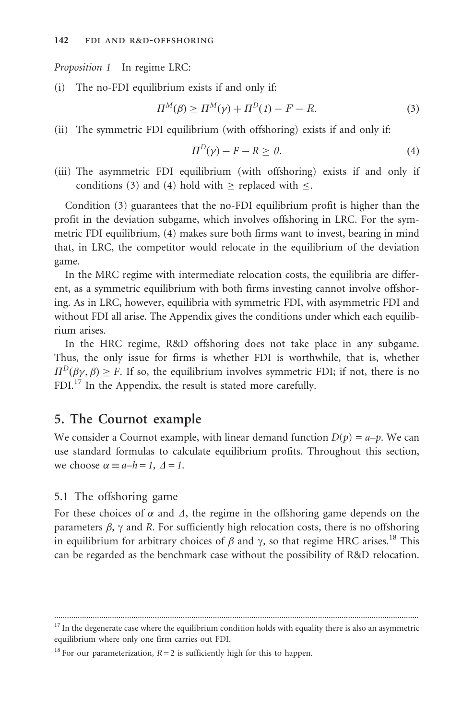Proposition 1 In regime LRC:

(i) The no-FDI equilibrium exists if and only if:

$$
\Pi^M(\beta) \ge \Pi^M(\gamma) + \Pi^D(1) - F - R. \tag{3}
$$

(ii) The symmetric FDI equilibrium (with offshoring) exists if and only if:

$$
\Pi^D(\gamma) - F - R \ge 0. \tag{4}
$$

(iii) The asymmetric FDI equilibrium (with offshoring) exists if and only if conditions (3) and (4) hold with  $>$  replaced with  $\lt$ .

Condition (3) guarantees that the no-FDI equilibrium profit is higher than the profit in the deviation subgame, which involves offshoring in LRC. For the symmetric FDI equilibrium, (4) makes sure both firms want to invest, bearing in mind that, in LRC, the competitor would relocate in the equilibrium of the deviation game.

In the MRC regime with intermediate relocation costs, the equilibria are different, as a symmetric equilibrium with both firms investing cannot involve offshoring. As in LRC, however, equilibria with symmetric FDI, with asymmetric FDI and without FDI all arise. The Appendix gives the conditions under which each equilibrium arises.

In the HRC regime, R&D offshoring does not take place in any subgame. Thus, the only issue for firms is whether FDI is worthwhile, that is, whether  $\Pi^D(\beta\gamma,\beta) \geq F$ . If so, the equilibrium involves symmetric FDI; if not, there is no FDI.<sup>17</sup> In the Appendix, the result is stated more carefully.

## 5. The Cournot example

We consider a Cournot example, with linear demand function  $D(p) = a-p$ . We can use standard formulas to calculate equilibrium profits. Throughout this section, we choose  $\alpha \equiv a-h = 1, \ \Delta = 1$ .

#### 5.1 The offshoring game

For these choices of  $\alpha$  and  $\Delta$ , the regime in the offshoring game depends on the parameters  $\beta$ ,  $\gamma$  and R. For sufficiently high relocation costs, there is no offshoring in equilibrium for arbitrary choices of  $\beta$  and  $\gamma$ , so that regime HRC arises.<sup>18</sup> This can be regarded as the benchmark case without the possibility of R&D relocation.

<sup>..........................................................................................................................................................................</sup>

 $17$  In the degenerate case where the equilibrium condition holds with equality there is also an asymmetric equilibrium where only one firm carries out FDI.

<sup>&</sup>lt;sup>18</sup> For our parameterization,  $R = 2$  is sufficiently high for this to happen.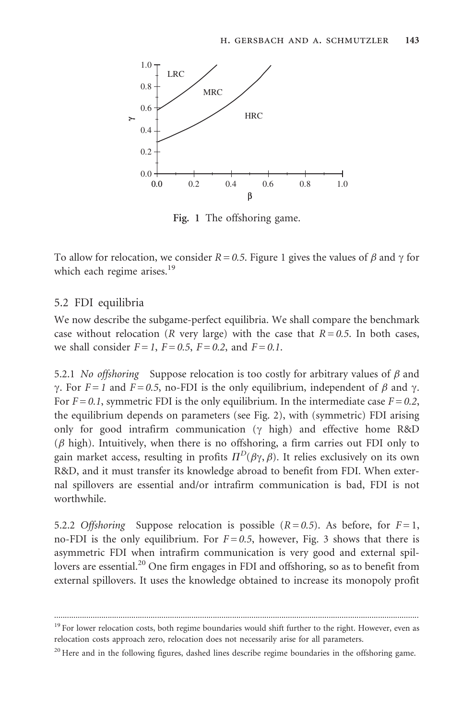

Fig. 1 The offshoring game.

To allow for relocation, we consider  $R = 0.5$ . Figure 1 gives the values of  $\beta$  and  $\gamma$  for which each regime arises.<sup>19</sup>

#### 5.2 FDI equilibria

We now describe the subgame-perfect equilibria. We shall compare the benchmark case without relocation (R very large) with the case that  $R = 0.5$ . In both cases, we shall consider  $F = 1$ ,  $F = 0.5$ ,  $F = 0.2$ , and  $F = 0.1$ .

5.2.1 No offshoring Suppose relocation is too costly for arbitrary values of  $\beta$  and  $\gamma$ . For F = 1 and F = 0.5, no-FDI is the only equilibrium, independent of  $\beta$  and  $\gamma$ . For  $F = 0.1$ , symmetric FDI is the only equilibrium. In the intermediate case  $F = 0.2$ , the equilibrium depends on parameters (see Fig. 2), with (symmetric) FDI arising only for good intrafirm communication ( $\gamma$  high) and effective home R&D  $(\beta$  high). Intuitively, when there is no offshoring, a firm carries out FDI only to gain market access, resulting in profits  $\Pi^D(\beta \gamma, \beta)$ . It relies exclusively on its own R&D, and it must transfer its knowledge abroad to benefit from FDI. When external spillovers are essential and/or intrafirm communication is bad, FDI is not worthwhile.

5.2.2 Offshoring Suppose relocation is possible  $(R = 0.5)$ . As before, for  $F = 1$ , no-FDI is the only equilibrium. For  $F = 0.5$ , however, Fig. 3 shows that there is asymmetric FDI when intrafirm communication is very good and external spillovers are essential.<sup>20</sup> One firm engages in FDI and offshoring, so as to benefit from external spillovers. It uses the knowledge obtained to increase its monopoly profit

<sup>..........................................................................................................................................................................</sup>

<sup>&</sup>lt;sup>19</sup> For lower relocation costs, both regime boundaries would shift further to the right. However, even as relocation costs approach zero, relocation does not necessarily arise for all parameters.

<sup>&</sup>lt;sup>20</sup> Here and in the following figures, dashed lines describe regime boundaries in the offshoring game.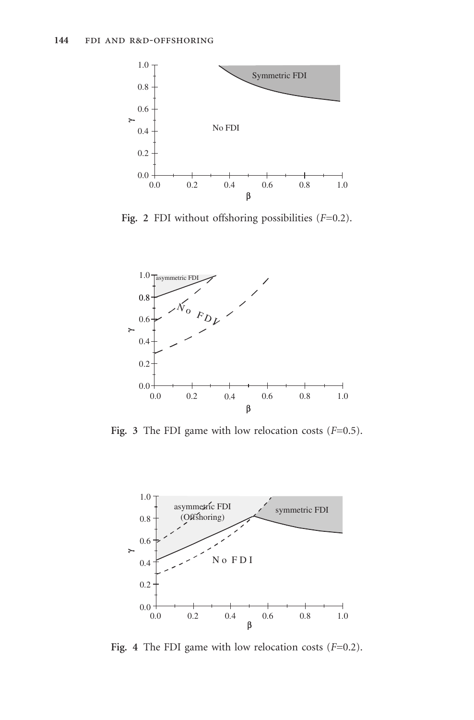

Fig. 2 FDI without offshoring possibilities  $(F=0.2)$ .



Fig. 3 The FDI game with low relocation costs  $(F=0.5)$ .



Fig. 4 The FDI game with low relocation costs  $(F=0.2)$ .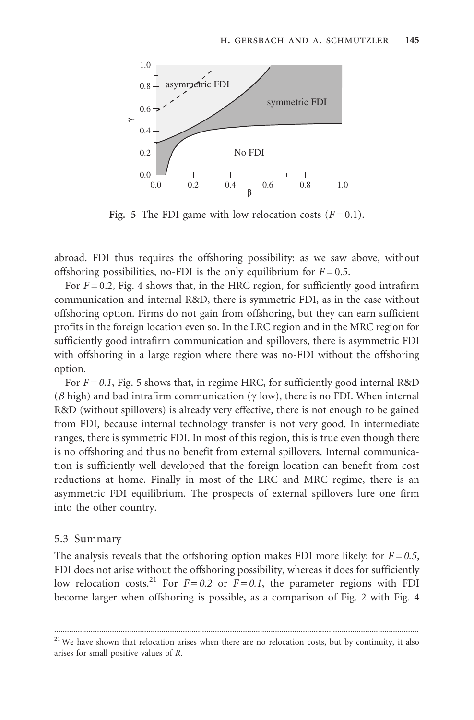

Fig. 5 The FDI game with low relocation costs  $(F = 0.1)$ .

abroad. FDI thus requires the offshoring possibility: as we saw above, without offshoring possibilities, no-FDI is the only equilibrium for  $F = 0.5$ .

For  $F = 0.2$ , Fig. 4 shows that, in the HRC region, for sufficiently good intrafirm communication and internal R&D, there is symmetric FDI, as in the case without offshoring option. Firms do not gain from offshoring, but they can earn sufficient profits in the foreign location even so. In the LRC region and in the MRC region for sufficiently good intrafirm communication and spillovers, there is asymmetric FDI with offshoring in a large region where there was no-FDI without the offshoring option.

For  $F = 0.1$ , Fig. 5 shows that, in regime HRC, for sufficiently good internal R&D ( $\beta$  high) and bad intrafirm communication ( $\gamma$  low), there is no FDI. When internal R&D (without spillovers) is already very effective, there is not enough to be gained from FDI, because internal technology transfer is not very good. In intermediate ranges, there is symmetric FDI. In most of this region, this is true even though there is no offshoring and thus no benefit from external spillovers. Internal communication is sufficiently well developed that the foreign location can benefit from cost reductions at home. Finally in most of the LRC and MRC regime, there is an asymmetric FDI equilibrium. The prospects of external spillovers lure one firm into the other country.

#### 5.3 Summary

The analysis reveals that the offshoring option makes FDI more likely: for  $F = 0.5$ , FDI does not arise without the offshoring possibility, whereas it does for sufficiently low relocation costs.<sup>21</sup> For  $F = 0.2$  or  $F = 0.1$ , the parameter regions with FDI become larger when offshoring is possible, as a comparison of Fig. 2 with Fig. 4

<sup>..........................................................................................................................................................................</sup> <sup>21</sup> We have shown that relocation arises when there are no relocation costs, but by continuity, it also arises for small positive values of R.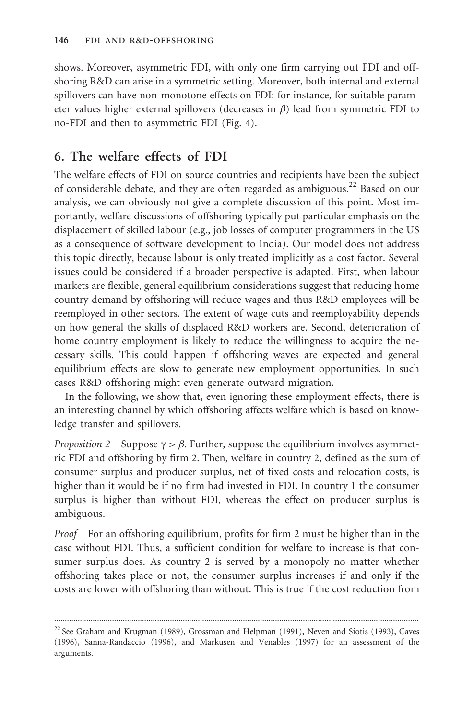shows. Moreover, asymmetric FDI, with only one firm carrying out FDI and offshoring R&D can arise in a symmetric setting. Moreover, both internal and external spillovers can have non-monotone effects on FDI: for instance, for suitable parameter values higher external spillovers (decreases in  $\beta$ ) lead from symmetric FDI to no-FDI and then to asymmetric FDI (Fig. 4).

## 6. The welfare effects of FDI

The welfare effects of FDI on source countries and recipients have been the subject of considerable debate, and they are often regarded as ambiguous.<sup>22</sup> Based on our analysis, we can obviously not give a complete discussion of this point. Most importantly, welfare discussions of offshoring typically put particular emphasis on the displacement of skilled labour (e.g., job losses of computer programmers in the US as a consequence of software development to India). Our model does not address this topic directly, because labour is only treated implicitly as a cost factor. Several issues could be considered if a broader perspective is adapted. First, when labour markets are flexible, general equilibrium considerations suggest that reducing home country demand by offshoring will reduce wages and thus R&D employees will be reemployed in other sectors. The extent of wage cuts and reemployability depends on how general the skills of displaced R&D workers are. Second, deterioration of home country employment is likely to reduce the willingness to acquire the necessary skills. This could happen if offshoring waves are expected and general equilibrium effects are slow to generate new employment opportunities. In such cases R&D offshoring might even generate outward migration.

In the following, we show that, even ignoring these employment effects, there is an interesting channel by which offshoring affects welfare which is based on knowledge transfer and spillovers.

*Proposition 2* Suppose  $\gamma > \beta$ . Further, suppose the equilibrium involves asymmetric FDI and offshoring by firm 2. Then, welfare in country 2, defined as the sum of consumer surplus and producer surplus, net of fixed costs and relocation costs, is higher than it would be if no firm had invested in FDI. In country 1 the consumer surplus is higher than without FDI, whereas the effect on producer surplus is ambiguous.

Proof For an offshoring equilibrium, profits for firm 2 must be higher than in the case without FDI. Thus, a sufficient condition for welfare to increase is that consumer surplus does. As country 2 is served by a monopoly no matter whether offshoring takes place or not, the consumer surplus increases if and only if the costs are lower with offshoring than without. This is true if the cost reduction from

<sup>..........................................................................................................................................................................</sup>

<sup>22</sup> See Graham and Krugman (1989), Grossman and Helpman (1991), Neven and Siotis (1993), Caves (1996), Sanna-Randaccio (1996), and Markusen and Venables (1997) for an assessment of the arguments.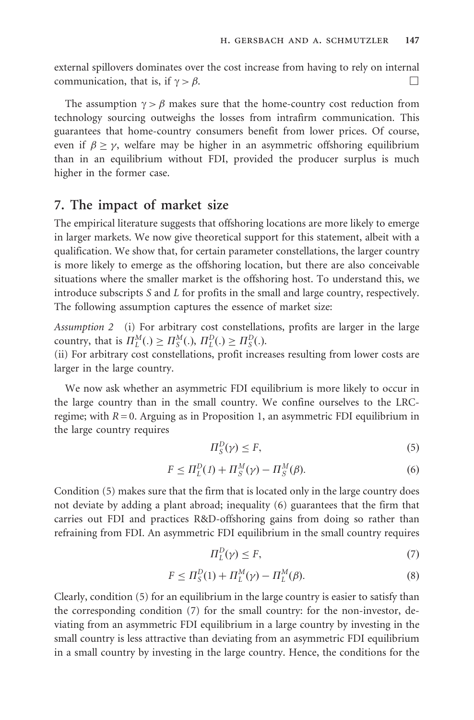external spillovers dominates over the cost increase from having to rely on internal communication, that is, if  $\gamma > \beta$ .

The assumption  $\gamma > \beta$  makes sure that the home-country cost reduction from technology sourcing outweighs the losses from intrafirm communication. This guarantees that home-country consumers benefit from lower prices. Of course, even if  $\beta \geq \gamma$ , welfare may be higher in an asymmetric offshoring equilibrium than in an equilibrium without FDI, provided the producer surplus is much higher in the former case.

## 7. The impact of market size

larger in the large country.

The empirical literature suggests that offshoring locations are more likely to emerge in larger markets. We now give theoretical support for this statement, albeit with a qualification. We show that, for certain parameter constellations, the larger country is more likely to emerge as the offshoring location, but there are also conceivable situations where the smaller market is the offshoring host. To understand this, we introduce subscripts S and L for profits in the small and large country, respectively. The following assumption captures the essence of market size:

Assumption 2 (i) For arbitrary cost constellations, profits are larger in the large country, that is  $\Pi_L^M(.) \geq \Pi_S^M(.)$ ,  $\Pi_L^D(.) \geq \Pi_S^D(.)$ . (ii) For arbitrary cost constellations, profit increases resulting from lower costs are

We now ask whether an asymmetric FDI equilibrium is more likely to occur in the large country than in the small country. We confine ourselves to the LRCregime; with  $R = 0$ . Arguing as in Proposition 1, an asymmetric FDI equilibrium in the large country requires

$$
\Pi_S^D(\gamma) \le F,\tag{5}
$$

$$
F \le \Pi_L^D(1) + \Pi_S^M(\gamma) - \Pi_S^M(\beta). \tag{6}
$$

Condition (5) makes sure that the firm that is located only in the large country does not deviate by adding a plant abroad; inequality (6) guarantees that the firm that carries out FDI and practices R&D-offshoring gains from doing so rather than refraining from FDI. An asymmetric FDI equilibrium in the small country requires

$$
\Pi_L^D(\gamma) \le F,\tag{7}
$$

$$
F \le \Pi_S^D(1) + \Pi_L^M(\gamma) - \Pi_L^M(\beta).
$$
\n(8)

Clearly, condition (5) for an equilibrium in the large country is easier to satisfy than the corresponding condition (7) for the small country: for the non-investor, deviating from an asymmetric FDI equilibrium in a large country by investing in the small country is less attractive than deviating from an asymmetric FDI equilibrium in a small country by investing in the large country. Hence, the conditions for the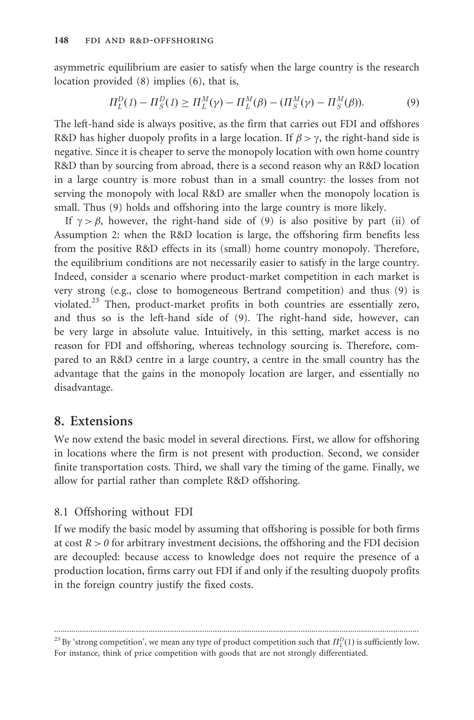asymmetric equilibrium are easier to satisfy when the large country is the research location provided (8) implies (6), that is,

$$
\Pi_L^D(1) - \Pi_S^D(1) \ge \Pi_L^M(\gamma) - \Pi_L^M(\beta) - (\Pi_S^M(\gamma) - \Pi_S^M(\beta)).
$$
\n(9)

The left-hand side is always positive, as the firm that carries out FDI and offshores R&D has higher duopoly profits in a large location. If  $\beta > \gamma$ , the right-hand side is negative. Since it is cheaper to serve the monopoly location with own home country R&D than by sourcing from abroad, there is a second reason why an R&D location in a large country is more robust than in a small country: the losses from not serving the monopoly with local R&D are smaller when the monopoly location is small. Thus (9) holds and offshoring into the large country is more likely.

If  $\gamma > \beta$ , however, the right-hand side of (9) is also positive by part (ii) of Assumption 2: when the R&D location is large, the offshoring firm benefits less from the positive R&D effects in its (small) home country monopoly. Therefore, the equilibrium conditions are not necessarily easier to satisfy in the large country. Indeed, consider a scenario where product-market competition in each market is very strong (e.g., close to homogeneous Bertrand competition) and thus (9) is violated.<sup>23</sup> Then, product-market profits in both countries are essentially zero, and thus so is the left-hand side of (9). The right-hand side, however, can be very large in absolute value. Intuitively, in this setting, market access is no reason for FDI and offshoring, whereas technology sourcing is. Therefore, compared to an R&D centre in a large country, a centre in the small country has the advantage that the gains in the monopoly location are larger, and essentially no disadvantage.

#### 8. Extensions

We now extend the basic model in several directions. First, we allow for offshoring in locations where the firm is not present with production. Second, we consider finite transportation costs. Third, we shall vary the timing of the game. Finally, we allow for partial rather than complete R&D offshoring.

#### 8.1 Offshoring without FDI

If we modify the basic model by assuming that offshoring is possible for both firms at cost  $R > 0$  for arbitrary investment decisions, the offshoring and the FDI decision are decoupled: because access to knowledge does not require the presence of a production location, firms carry out FDI if and only if the resulting duopoly profits in the foreign country justify the fixed costs.

..........................................................................................................................................................................

<sup>23</sup> By 'strong competition', we mean any type of product competition such that  $\Pi^D_L(1)$  is sufficiently low. For instance, think of price competition with goods that are not strongly differentiated.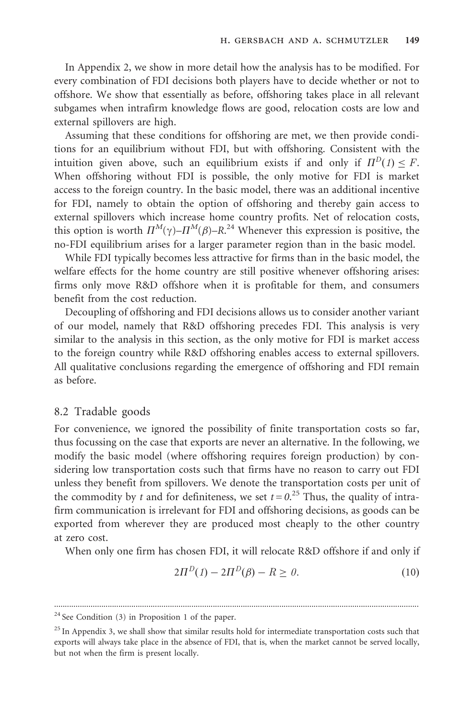In Appendix 2, we show in more detail how the analysis has to be modified. For every combination of FDI decisions both players have to decide whether or not to offshore. We show that essentially as before, offshoring takes place in all relevant subgames when intrafirm knowledge flows are good, relocation costs are low and external spillovers are high.

Assuming that these conditions for offshoring are met, we then provide conditions for an equilibrium without FDI, but with offshoring. Consistent with the intuition given above, such an equilibrium exists if and only if  $\Pi^D(1) \leq F$ . When offshoring without FDI is possible, the only motive for FDI is market access to the foreign country. In the basic model, there was an additional incentive for FDI, namely to obtain the option of offshoring and thereby gain access to external spillovers which increase home country profits. Net of relocation costs, this option is worth  $\Pi^M(\gamma)$ – $\Pi^M(\beta)$ –R.<sup>24</sup> Whenever this expression is positive, the no-FDI equilibrium arises for a larger parameter region than in the basic model.

While FDI typically becomes less attractive for firms than in the basic model, the welfare effects for the home country are still positive whenever offshoring arises: firms only move R&D offshore when it is profitable for them, and consumers benefit from the cost reduction.

Decoupling of offshoring and FDI decisions allows us to consider another variant of our model, namely that R&D offshoring precedes FDI. This analysis is very similar to the analysis in this section, as the only motive for FDI is market access to the foreign country while R&D offshoring enables access to external spillovers. All qualitative conclusions regarding the emergence of offshoring and FDI remain as before.

#### 8.2 Tradable goods

For convenience, we ignored the possibility of finite transportation costs so far, thus focussing on the case that exports are never an alternative. In the following, we modify the basic model (where offshoring requires foreign production) by considering low transportation costs such that firms have no reason to carry out FDI unless they benefit from spillovers. We denote the transportation costs per unit of the commodity by t and for definiteness, we set  $t = 0.25$  Thus, the quality of intrafirm communication is irrelevant for FDI and offshoring decisions, as goods can be exported from wherever they are produced most cheaply to the other country at zero cost.

When only one firm has chosen FDI, it will relocate R&D offshore if and only if

$$
2\Pi^{D}(1) - 2\Pi^{D}(\beta) - R \ge 0.
$$
 (10)

<sup>24</sup> See Condition (3) in Proposition 1 of the paper.

 $25$  In Appendix 3, we shall show that similar results hold for intermediate transportation costs such that exports will always take place in the absence of FDI, that is, when the market cannot be served locally, but not when the firm is present locally.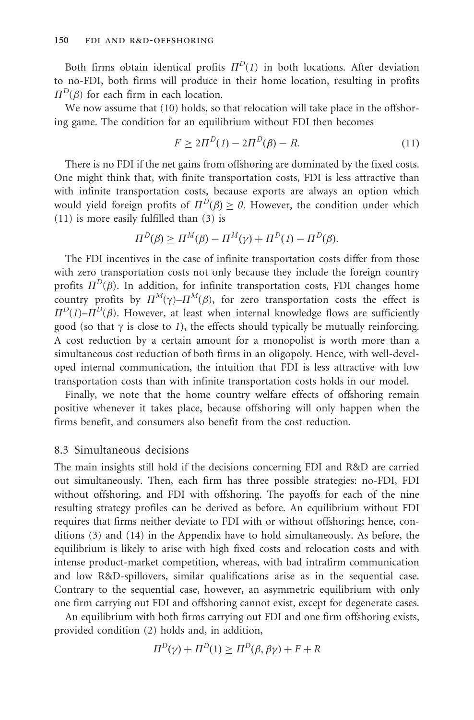Both firms obtain identical profits  $\Pi^D(1)$  in both locations. After deviation to no-FDI, both firms will produce in their home location, resulting in profits  $\Pi^D(\beta)$  for each firm in each location.

We now assume that (10) holds, so that relocation will take place in the offshoring game. The condition for an equilibrium without FDI then becomes

$$
F \ge 2\Pi^{D}(1) - 2\Pi^{D}(\beta) - R.
$$
 (11)

There is no FDI if the net gains from offshoring are dominated by the fixed costs. One might think that, with finite transportation costs, FDI is less attractive than with infinite transportation costs, because exports are always an option which would yield foreign profits of  $\Pi^D(\beta) > 0$ . However, the condition under which (11) is more easily fulfilled than (3) is

$$
\Pi^D(\beta) \ge \Pi^M(\beta) - \Pi^M(\gamma) + \Pi^D(\beta) - \Pi^D(\beta).
$$

The FDI incentives in the case of infinite transportation costs differ from those with zero transportation costs not only because they include the foreign country profits  $\Pi^D(\beta)$ . In addition, for infinite transportation costs, FDI changes home country profits by  $\Pi^{M}(\gamma)$ – $\Pi^{M}(\beta)$ , for zero transportation costs the effect is  $\Pi^{D}(1)$ – $\Pi^{D}(\beta)$ . However, at least when internal knowledge flows are sufficiently good (so that  $\gamma$  is close to 1), the effects should typically be mutually reinforcing. A cost reduction by a certain amount for a monopolist is worth more than a simultaneous cost reduction of both firms in an oligopoly. Hence, with well-developed internal communication, the intuition that FDI is less attractive with low transportation costs than with infinite transportation costs holds in our model.

Finally, we note that the home country welfare effects of offshoring remain positive whenever it takes place, because offshoring will only happen when the firms benefit, and consumers also benefit from the cost reduction.

#### 8.3 Simultaneous decisions

The main insights still hold if the decisions concerning FDI and R&D are carried out simultaneously. Then, each firm has three possible strategies: no-FDI, FDI without offshoring, and FDI with offshoring. The payoffs for each of the nine resulting strategy profiles can be derived as before. An equilibrium without FDI requires that firms neither deviate to FDI with or without offshoring; hence, conditions (3) and (14) in the Appendix have to hold simultaneously. As before, the equilibrium is likely to arise with high fixed costs and relocation costs and with intense product-market competition, whereas, with bad intrafirm communication and low R&D-spillovers, similar qualifications arise as in the sequential case. Contrary to the sequential case, however, an asymmetric equilibrium with only one firm carrying out FDI and offshoring cannot exist, except for degenerate cases.

An equilibrium with both firms carrying out FDI and one firm offshoring exists, provided condition (2) holds and, in addition,

$$
\Pi^{D}(\gamma) + \Pi^{D}(1) \ge \Pi^{D}(\beta, \beta\gamma) + F + R
$$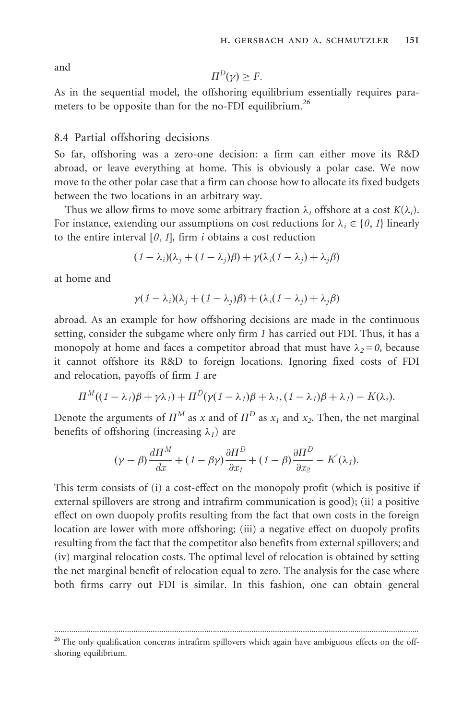and

$$
\Pi^D(\gamma) \geq F.
$$

As in the sequential model, the offshoring equilibrium essentially requires parameters to be opposite than for the no-FDI equilibrium.<sup>26</sup>

#### 8.4 Partial offshoring decisions

So far, offshoring was a zero-one decision: a firm can either move its R&D abroad, or leave everything at home. This is obviously a polar case. We now move to the other polar case that a firm can choose how to allocate its fixed budgets between the two locations in an arbitrary way.

Thus we allow firms to move some arbitrary fraction  $\lambda_i$  offshore at a cost  $K(\lambda_i)$ . For instance, extending our assumptions on cost reductions for  $\lambda_i \in \{0, 1\}$  linearly to the entire interval  $[0, 1]$ , firm i obtains a cost reduction

$$
(1 - \lambda_i)(\lambda_j + (1 - \lambda_j)\beta) + \gamma(\lambda_i(1 - \lambda_j) + \lambda_j\beta)
$$

at home and

$$
\gamma(1-\lambda_i)(\lambda_j+(1-\lambda_j)\beta)+(\lambda_i(1-\lambda_j)+\lambda_j\beta)
$$

abroad. As an example for how offshoring decisions are made in the continuous setting, consider the subgame where only firm 1 has carried out FDI. Thus, it has a monopoly at home and faces a competitor abroad that must have  $\lambda_2 = 0$ , because it cannot offshore its R&D to foreign locations. Ignoring fixed costs of FDI and relocation, payoffs of firm 1 are

$$
\Pi^M((1-\lambda_1)\beta+\gamma\lambda_1)+\Pi^D(\gamma(1-\lambda_1)\beta+\lambda_1,(1-\lambda_1)\beta+\lambda_1)-K(\lambda_i).
$$

Denote the arguments of  $\Pi^M$  as x and of  $\Pi^D$  as  $x_1$  and  $x_2$ . Then, the net marginal benefits of offshoring (increasing  $\lambda_1$ ) are

$$
(\gamma - \beta) \frac{d\Pi^M}{dx} + (1 - \beta \gamma) \frac{\partial \Pi^D}{\partial x_1} + (1 - \beta) \frac{\partial \Pi^D}{\partial x_2} - K'(\lambda_1).
$$

This term consists of (i) a cost-effect on the monopoly profit (which is positive if external spillovers are strong and intrafirm communication is good); (ii) a positive effect on own duopoly profits resulting from the fact that own costs in the foreign location are lower with more offshoring; (iii) a negative effect on duopoly profits resulting from the fact that the competitor also benefits from external spillovers; and (iv) marginal relocation costs. The optimal level of relocation is obtained by setting the net marginal benefit of relocation equal to zero. The analysis for the case where both firms carry out FDI is similar. In this fashion, one can obtain general

<sup>..........................................................................................................................................................................</sup> <sup>26</sup> The only qualification concerns intrafirm spillovers which again have ambiguous effects on the offshoring equilibrium.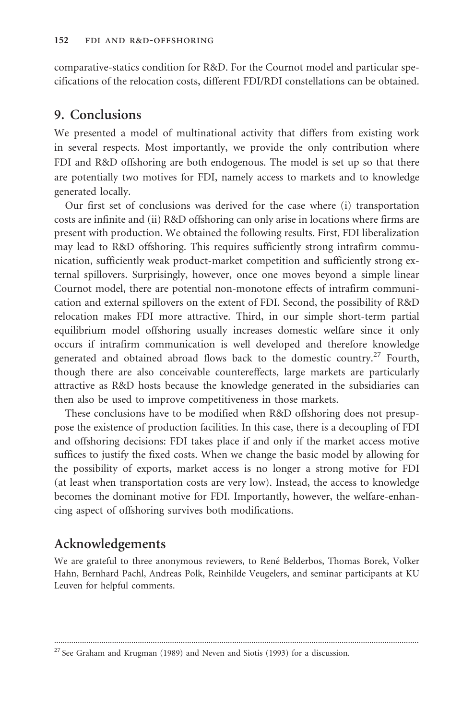comparative-statics condition for R&D. For the Cournot model and particular specifications of the relocation costs, different FDI/RDI constellations can be obtained.

## 9. Conclusions

We presented a model of multinational activity that differs from existing work in several respects. Most importantly, we provide the only contribution where FDI and R&D offshoring are both endogenous. The model is set up so that there are potentially two motives for FDI, namely access to markets and to knowledge generated locally.

Our first set of conclusions was derived for the case where (i) transportation costs are infinite and (ii) R&D offshoring can only arise in locations where firms are present with production. We obtained the following results. First, FDI liberalization may lead to R&D offshoring. This requires sufficiently strong intrafirm communication, sufficiently weak product-market competition and sufficiently strong external spillovers. Surprisingly, however, once one moves beyond a simple linear Cournot model, there are potential non-monotone effects of intrafirm communication and external spillovers on the extent of FDI. Second, the possibility of R&D relocation makes FDI more attractive. Third, in our simple short-term partial equilibrium model offshoring usually increases domestic welfare since it only occurs if intrafirm communication is well developed and therefore knowledge generated and obtained abroad flows back to the domestic country.<sup>27</sup> Fourth, though there are also conceivable countereffects, large markets are particularly attractive as R&D hosts because the knowledge generated in the subsidiaries can then also be used to improve competitiveness in those markets.

These conclusions have to be modified when R&D offshoring does not presuppose the existence of production facilities. In this case, there is a decoupling of FDI and offshoring decisions: FDI takes place if and only if the market access motive suffices to justify the fixed costs. When we change the basic model by allowing for the possibility of exports, market access is no longer a strong motive for FDI (at least when transportation costs are very low). Instead, the access to knowledge becomes the dominant motive for FDI. Importantly, however, the welfare-enhancing aspect of offshoring survives both modifications.

## Acknowledgements

We are grateful to three anonymous reviewers, to René Belderbos, Thomas Borek, Volker Hahn, Bernhard Pachl, Andreas Polk, Reinhilde Veugelers, and seminar participants at KU Leuven for helpful comments.

<sup>&</sup>lt;sup>27</sup> See Graham and Krugman (1989) and Neven and Siotis (1993) for a discussion.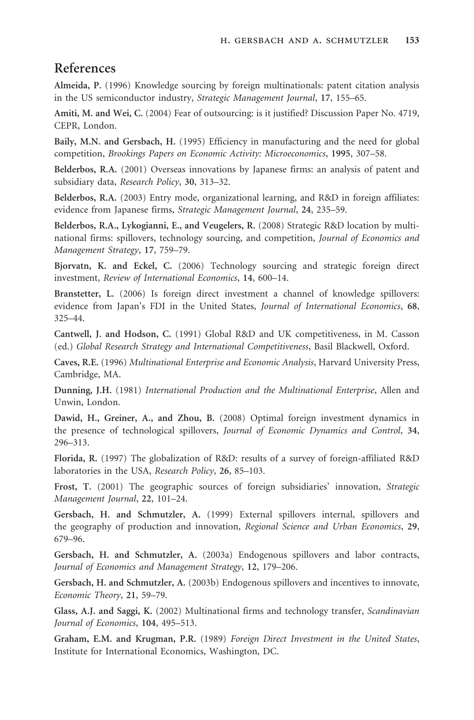## References

Almeida, P. (1996) Knowledge sourcing by foreign multinationals: patent citation analysis in the US semiconductor industry, Strategic Management Journal, 17, 155–65.

Amiti, M. and Wei, C. (2004) Fear of outsourcing: is it justified? Discussion Paper No. 4719, CEPR, London.

Baily, M.N. and Gersbach, H. (1995) Efficiency in manufacturing and the need for global competition, Brookings Papers on Economic Activity: Microeconomics, 1995, 307–58.

Belderbos, R.A. (2001) Overseas innovations by Japanese firms: an analysis of patent and subsidiary data, Research Policy, 30, 313–32.

Belderbos, R.A. (2003) Entry mode, organizational learning, and R&D in foreign affiliates: evidence from Japanese firms, Strategic Management Journal, 24, 235–59.

Belderbos, R.A., Lykogianni, E., and Veugelers, R. (2008) Strategic R&D location by multinational firms: spillovers, technology sourcing, and competition, Journal of Economics and Management Strategy, 17, 759–79.

Bjorvatn, K. and Eckel, C. (2006) Technology sourcing and strategic foreign direct investment, Review of International Economics, 14, 600–14.

Branstetter, L. (2006) Is foreign direct investment a channel of knowledge spillovers: evidence from Japan's FDI in the United States, Journal of International Economics, 68, 325–44.

Cantwell, J. and Hodson, C. (1991) Global R&D and UK competitiveness, in M. Casson (ed.) Global Research Strategy and International Competitiveness, Basil Blackwell, Oxford.

Caves, R.E. (1996) Multinational Enterprise and Economic Analysis, Harvard University Press, Cambridge, MA.

Dunning, J.H. (1981) International Production and the Multinational Enterprise, Allen and Unwin, London.

Dawid, H., Greiner, A., and Zhou, B. (2008) Optimal foreign investment dynamics in the presence of technological spillovers, Journal of Economic Dynamics and Control, 34, 296–313.

Florida, R. (1997) The globalization of R&D: results of a survey of foreign-affiliated R&D laboratories in the USA, Research Policy, 26, 85–103.

Frost, T. (2001) The geographic sources of foreign subsidiaries' innovation, Strategic Management Journal, 22, 101–24.

Gersbach, H. and Schmutzler, A. (1999) External spillovers internal, spillovers and the geography of production and innovation, Regional Science and Urban Economics, 29, 679–96.

Gersbach, H. and Schmutzler, A. (2003a) Endogenous spillovers and labor contracts, Journal of Economics and Management Strategy, 12, 179–206.

Gersbach, H. and Schmutzler, A. (2003b) Endogenous spillovers and incentives to innovate, Economic Theory, 21, 59–79.

Glass, A.J. and Saggi, K. (2002) Multinational firms and technology transfer, Scandinavian Journal of Economics, 104, 495–513.

Graham, E.M. and Krugman, P.R. (1989) Foreign Direct Investment in the United States, Institute for International Economics, Washington, DC.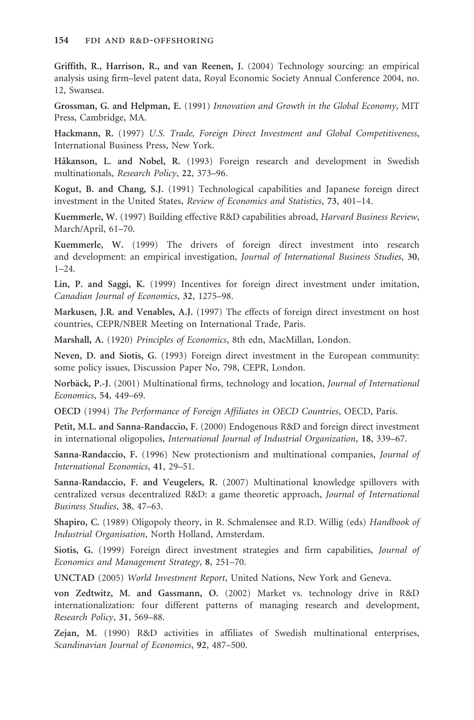Griffith, R., Harrison, R., and van Reenen, J. (2004) Technology sourcing: an empirical analysis using firm–level patent data, Royal Economic Society Annual Conference 2004, no. 12, Swansea.

Grossman, G. and Helpman, E. (1991) Innovation and Growth in the Global Economy, MIT Press, Cambridge, MA.

Hackmann, R. (1997) U.S. Trade, Foreign Direct Investment and Global Competitiveness, International Business Press, New York.

Håkanson, L. and Nobel, R. (1993) Foreign research and development in Swedish multinationals, Research Policy, 22, 373–96.

Kogut, B. and Chang, S.J. (1991) Technological capabilities and Japanese foreign direct investment in the United States, Review of Economics and Statistics, 73, 401–14.

Kuemmerle, W. (1997) Building effective R&D capabilities abroad, Harvard Business Review, March/April, 61–70.

Kuemmerle, W. (1999) The drivers of foreign direct investment into research and development: an empirical investigation, Journal of International Business Studies, 30, 1–24.

Lin, P. and Saggi, K. (1999) Incentives for foreign direct investment under imitation, Canadian Journal of Economics, 32, 1275–98.

Markusen, J.R. and Venables, A.J. (1997) The effects of foreign direct investment on host countries, CEPR/NBER Meeting on International Trade, Paris.

Marshall, A. (1920) Principles of Economics, 8th edn, MacMillan, London.

Neven, D. and Siotis, G. (1993) Foreign direct investment in the European community: some policy issues, Discussion Paper No, 798, CEPR, London.

Norbäck, P.-J. (2001) Multinational firms, technology and location, *Journal of International* Economics, 54, 449–69.

OECD (1994) The Performance of Foreign Affiliates in OECD Countries, OECD, Paris.

Petit, M.L. and Sanna-Randaccio, F. (2000) Endogenous R&D and foreign direct investment in international oligopolies, International Journal of Industrial Organization, 18, 339–67.

Sanna-Randaccio, F. (1996) New protectionism and multinational companies, Journal of International Economics, 41, 29–51.

Sanna-Randaccio, F. and Veugelers, R. (2007) Multinational knowledge spillovers with centralized versus decentralized R&D: a game theoretic approach, Journal of International Business Studies, 38, 47–63.

Shapiro, C. (1989) Oligopoly theory, in R. Schmalensee and R.D. Willig (eds) Handbook of Industrial Organisation, North Holland, Amsterdam.

Siotis, G. (1999) Foreign direct investment strategies and firm capabilities, Journal of Economics and Management Strategy, 8, 251–70.

UNCTAD (2005) World Investment Report, United Nations, New York and Geneva.

von Zedtwitz, M. and Gassmann, O. (2002) Market vs. technology drive in R&D internationalization: four different patterns of managing research and development, Research Policy, 31, 569–88.

Zejan, M. (1990) R&D activities in affiliates of Swedish multinational enterprises, Scandinavian Journal of Economics, 92, 487–500.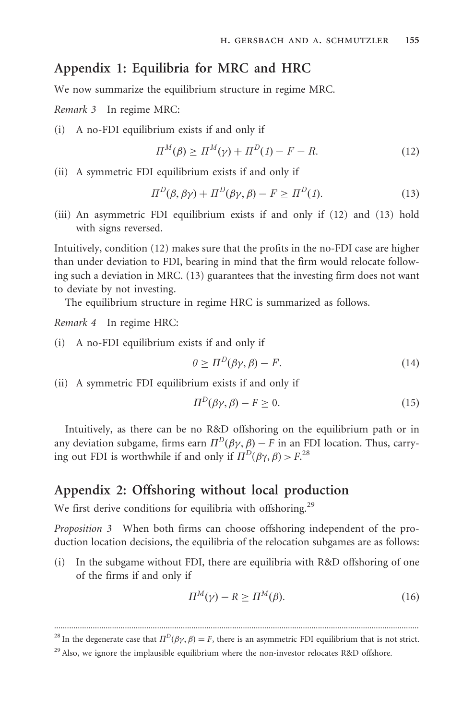### Appendix 1: Equilibria for MRC and HRC

We now summarize the equilibrium structure in regime MRC.

Remark 3 In regime MRC:

(i) A no-FDI equilibrium exists if and only if

$$
\Pi^M(\beta) \ge \Pi^M(\gamma) + \Pi^D(1) - F - R. \tag{12}
$$

(ii) A symmetric FDI equilibrium exists if and only if

$$
\Pi^D(\beta, \beta\gamma) + \Pi^D(\beta\gamma, \beta) - F \ge \Pi^D(1). \tag{13}
$$

(iii) An asymmetric FDI equilibrium exists if and only if (12) and (13) hold with signs reversed.

Intuitively, condition (12) makes sure that the profits in the no-FDI case are higher than under deviation to FDI, bearing in mind that the firm would relocate following such a deviation in MRC. (13) guarantees that the investing firm does not want to deviate by not investing.

The equilibrium structure in regime HRC is summarized as follows.

Remark 4 In regime HRC:

(i) A no-FDI equilibrium exists if and only if

$$
0 \ge \Pi^D(\beta \gamma, \beta) - F. \tag{14}
$$

(ii) A symmetric FDI equilibrium exists if and only if

$$
\Pi^D(\beta\gamma,\beta) - F \ge 0. \tag{15}
$$

Intuitively, as there can be no R&D offshoring on the equilibrium path or in any deviation subgame, firms earn  $\Pi^D(\beta\gamma,\beta)-F$  in an FDI location. Thus, carrying out FDI is worthwhile if and only if  $\Pi^D(\beta \gamma, \beta) > F^{28}$ .

#### Appendix 2: Offshoring without local production

We first derive conditions for equilibria with offshoring.<sup>29</sup>

Proposition 3 When both firms can choose offshoring independent of the production location decisions, the equilibria of the relocation subgames are as follows:

(i) In the subgame without FDI, there are equilibria with R&D offshoring of one of the firms if and only if

$$
\Pi^M(\gamma) - R \ge \Pi^M(\beta). \tag{16}
$$

<sup>&</sup>lt;sup>28</sup> In the degenerate case that  $\Pi^D(\beta\gamma, \beta) = F$ , there is an asymmetric FDI equilibrium that is not strict.

<sup>&</sup>lt;sup>29</sup> Also, we ignore the implausible equilibrium where the non-investor relocates R&D offshore.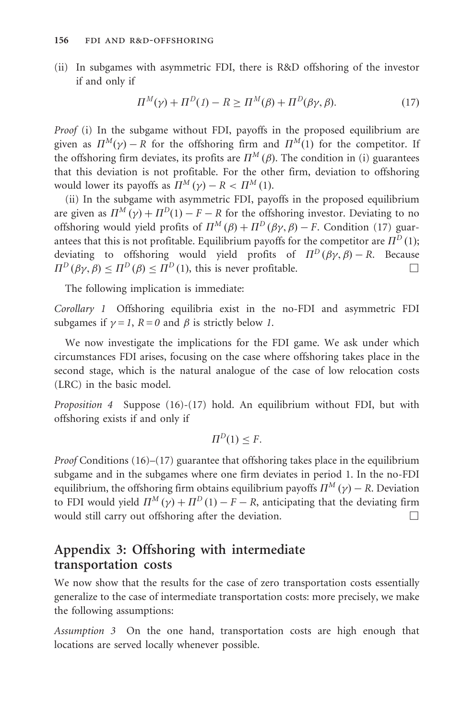(ii) In subgames with asymmetric FDI, there is R&D offshoring of the investor if and only if

$$
\Pi^M(\gamma) + \Pi^D(1) - R \ge \Pi^M(\beta) + \Pi^D(\beta\gamma, \beta). \tag{17}
$$

Proof (i) In the subgame without FDI, payoffs in the proposed equilibrium are given as  $\Pi^M(\gamma) - R$  for the offshoring firm and  $\Pi^M(1)$  for the competitor. If the offshoring firm deviates, its profits are  $\Pi^M(\beta)$ . The condition in (i) guarantees that this deviation is not profitable. For the other firm, deviation to offshoring would lower its payoffs as  $\Pi^M(\gamma) - R < \Pi^M(1)$ .

(ii) In the subgame with asymmetric FDI, payoffs in the proposed equilibrium are given as  $\Pi^M(\gamma) + \Pi^D(1) - F - R$  for the offshoring investor. Deviating to no offshoring would yield profits of  $\Pi^M(\beta) + \Pi^D(\beta\gamma,\beta) - F$ . Condition (17) guarantees that this is not profitable. Equilibrium payoffs for the competitor are  $\Pi^D(1)$ ; deviating to offshoring would yield profits of  $\Pi^D(\beta\gamma,\beta) - R$ . Because  $\Pi^D(\beta\gamma,\beta) \leq \Pi^D(\beta) \leq \Pi^D(1)$ , this is never profitable.

The following implication is immediate:

Corollary 1 Offshoring equilibria exist in the no-FDI and asymmetric FDI subgames if  $\gamma = 1$ ,  $R = 0$  and  $\beta$  is strictly below 1.

We now investigate the implications for the FDI game. We ask under which circumstances FDI arises, focusing on the case where offshoring takes place in the second stage, which is the natural analogue of the case of low relocation costs (LRC) in the basic model.

Proposition 4 Suppose (16)-(17) hold. An equilibrium without FDI, but with offshoring exists if and only if

$$
\Pi^D(1) \leq F.
$$

Proof Conditions (16)–(17) guarantee that offshoring takes place in the equilibrium subgame and in the subgames where one firm deviates in period 1. In the no-FDI equilibrium, the offshoring firm obtains equilibrium payoffs  $\Pi^M\left(\gamma\right) - R.$  Deviation to FDI would yield  $\Pi^M(\gamma) + \Pi^D(1) - F - R$ , anticipating that the deviating firm would still carry out offshoring after the deviation.  $\Box$ 

## Appendix 3: Offshoring with intermediate transportation costs

We now show that the results for the case of zero transportation costs essentially generalize to the case of intermediate transportation costs: more precisely, we make the following assumptions:

Assumption 3 On the one hand, transportation costs are high enough that locations are served locally whenever possible.